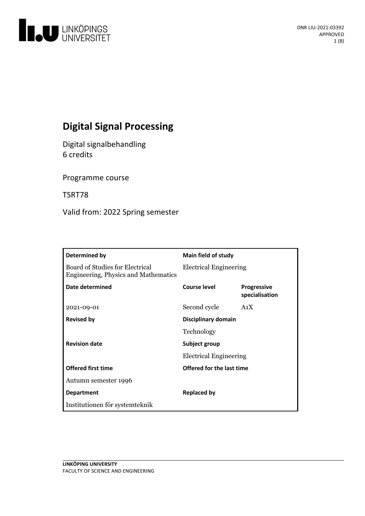

# **Digital Signal Processing**

Digital signalbehandling 6 credits

Programme course

TSRT78

Valid from: 2022 Spring semester

| Determined by                                                           | Main field of study           |                                      |
|-------------------------------------------------------------------------|-------------------------------|--------------------------------------|
| Board of Studies for Electrical<br>Engineering, Physics and Mathematics | <b>Electrical Engineering</b> |                                      |
| Date determined                                                         | Course level                  | <b>Progressive</b><br>specialisation |
| 2021-09-01                                                              | Second cycle                  | A <sub>1</sub> X                     |
| <b>Revised by</b>                                                       | Disciplinary domain           |                                      |
|                                                                         | Technology                    |                                      |
| <b>Revision date</b>                                                    | Subject group                 |                                      |
|                                                                         | <b>Electrical Engineering</b> |                                      |
| <b>Offered first time</b>                                               | Offered for the last time     |                                      |
| Autumn semester 1996                                                    |                               |                                      |
| <b>Department</b>                                                       | <b>Replaced by</b>            |                                      |
| Institutionen för systemteknik                                          |                               |                                      |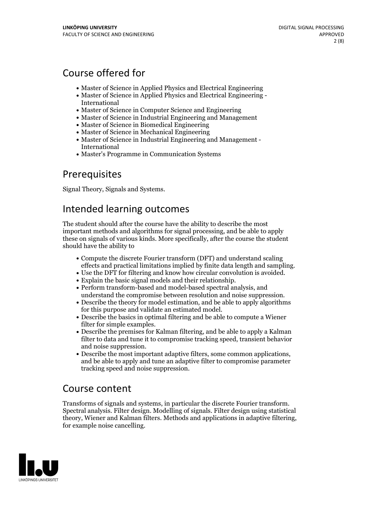# Course offered for

- Master of Science in Applied Physics and Electrical Engineering
- Master of Science in Applied Physics and Electrical Engineering International
- Master of Science in Computer Science and Engineering
- Master of Science in Industrial Engineering and Management
- Master of Science in Biomedical Engineering
- Master of Science in Mechanical Engineering
- Master of Science in Industrial Engineering and Management International
- Master's Programme in Communication Systems

## Prerequisites

Signal Theory, Signals and Systems.

## Intended learning outcomes

The student should after the course have the ability to describe the most important methods and algorithms for signal processing, and be able to apply these on signals of various kinds. More specifically, after the course the student should have the ability to

- Compute the discrete Fourier transform (DFT) and understand scaling
- effects and practical limitations implied by finite data length and sampling.<br>• Use the DFT for filtering and know how circular convolution is avoided.<br>• Explain the basic signal models and their relationship.<br>• Perform tr
- 
- understand the compromise between resolution and noise suppression.<br>• Describe the theory for model estimation, and be able to apply algorithms
- for this purpose and validate an estimated model.<br>• Describe the basics in optimal filtering and be able to compute a Wiener
- filter for simple examples.
- Describe the premises for Kalman filtering, and be able to apply a Kalman filter to data and tune it to compromise tracking speed, transient behavior
- Describe the most important adaptive filters, some common applications, and be able to apply and tune an adaptive filter to compromise parameter tracking speed and noise suppression.

## Course content

Transforms of signals and systems, in particular the discrete Fourier transform. Spectral analysis. Filter design. Modelling of signals. Filter design using statistical theory, Wiener and Kalman filters. Methods and applications in adaptive filtering, for example noise cancelling.

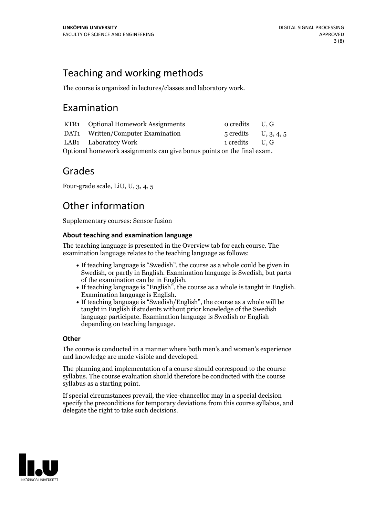# Teaching and working methods

The course is organized in lectures/classes and laboratory work.

## Examination

|                                                                        | KTR1 Optional Homework Assignments | $o$ credits $U, G$     |  |  |
|------------------------------------------------------------------------|------------------------------------|------------------------|--|--|
|                                                                        | DAT1 Written/Computer Examination  | $5$ credits U, 3, 4, 5 |  |  |
|                                                                        | LAB1 Laboratory Work               | 1 credits U.G          |  |  |
| Optional homework assignments can give bonus points on the final exam. |                                    |                        |  |  |

## Grades

Four-grade scale, LiU, U, 3, 4, 5

# Other information

Supplementary courses: Sensor fusion

### **About teaching and examination language**

The teaching language is presented in the Overview tab for each course. The examination language relates to the teaching language as follows:

- If teaching language is "Swedish", the course as a whole could be given in Swedish, or partly in English. Examination language is Swedish, but parts
- of the examination can be in English. If teaching language is "English", the course as <sup>a</sup> whole is taught in English. Examination language is English. If teaching language is "Swedish/English", the course as <sup>a</sup> whole will be
- taught in English if students without prior knowledge of the Swedish language participate. Examination language is Swedish or English depending on teaching language.

## **Other**

The course is conducted in a manner where both men's and women's experience and knowledge are made visible and developed.

The planning and implementation of a course should correspond to the course syllabus. The course evaluation should therefore be conducted with the course syllabus as a starting point.

If special circumstances prevail, the vice-chancellor may in a special decision specify the preconditions for temporary deviations from this course syllabus, and delegate the right to take such decisions.

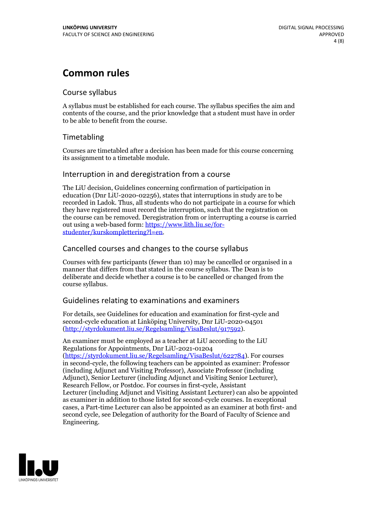# **Common rules**

### Course syllabus

A syllabus must be established for each course. The syllabus specifies the aim and contents of the course, and the prior knowledge that a student must have in order to be able to benefit from the course.

## Timetabling

Courses are timetabled after a decision has been made for this course concerning its assignment to a timetable module.

### Interruption in and deregistration from a course

The LiU decision, Guidelines concerning confirmation of participation in education (Dnr LiU-2020-02256), states that interruptions in study are to be recorded in Ladok. Thus, all students who do not participate in a course for which they have registered must record the interruption, such that the registration on the course can be removed. Deregistration from or interrupting a course is carried out using <sup>a</sup> web-based form: https://www.lith.liu.se/for- [studenter/kurskomplettering?l=en.](https://www.lith.liu.se/for-studenter/kurskomplettering?l=en)

## Cancelled courses and changes to the course syllabus

Courses with few participants (fewer than 10) may be cancelled or organised in a manner that differs from that stated in the course syllabus. The Dean is to deliberate and decide whether a course is to be cancelled or changed from the course syllabus.

## Guidelines relating to examinations and examiners

For details, see Guidelines for education and examination for first-cycle and second-cycle education at Linköping University, Dnr LiU-2020-04501 [\(http://styrdokument.liu.se/Regelsamling/VisaBeslut/917592\)](http://styrdokument.liu.se/Regelsamling/VisaBeslut/917592).

An examiner must be employed as a teacher at LiU according to the LiU Regulations for Appointments, Dnr LiU-2021-01204 [\(https://styrdokument.liu.se/Regelsamling/VisaBeslut/622784](https://styrdokument.liu.se/Regelsamling/VisaBeslut/622784)). For courses in second-cycle, the following teachers can be appointed as examiner: Professor (including Adjunct and Visiting Professor), Associate Professor (including Adjunct), Senior Lecturer (including Adjunct and Visiting Senior Lecturer), Research Fellow, or Postdoc. For courses in first-cycle, Assistant Lecturer (including Adjunct and Visiting Assistant Lecturer) can also be appointed as examiner in addition to those listed for second-cycle courses. In exceptional cases, a Part-time Lecturer can also be appointed as an examiner at both first- and second cycle, see Delegation of authority for the Board of Faculty of Science and Engineering.

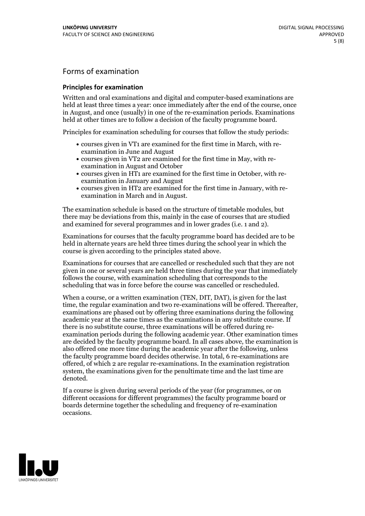## Forms of examination

#### **Principles for examination**

Written and oral examinations and digital and computer-based examinations are held at least three times a year: once immediately after the end of the course, once in August, and once (usually) in one of the re-examination periods. Examinations held at other times are to follow a decision of the faculty programme board.

Principles for examination scheduling for courses that follow the study periods:

- courses given in VT1 are examined for the first time in March, with re-examination in June and August
- courses given in VT2 are examined for the first time in May, with re-examination in August and October
- courses given in HT1 are examined for the first time in October, with re-examination in January and August
- courses given in HT2 are examined for the first time in January, with re-examination in March and in August.

The examination schedule is based on the structure of timetable modules, but there may be deviations from this, mainly in the case of courses that are studied and examined for several programmes and in lower grades (i.e. 1 and 2).

Examinations for courses that the faculty programme board has decided are to be held in alternate years are held three times during the school year in which the course is given according to the principles stated above.

Examinations for courses that are cancelled orrescheduled such that they are not given in one or several years are held three times during the year that immediately follows the course, with examination scheduling that corresponds to the scheduling that was in force before the course was cancelled or rescheduled.

When a course, or a written examination (TEN, DIT, DAT), is given for the last time, the regular examination and two re-examinations will be offered. Thereafter, examinations are phased out by offering three examinations during the following academic year at the same times as the examinations in any substitute course. If there is no substitute course, three examinations will be offered during re- examination periods during the following academic year. Other examination times are decided by the faculty programme board. In all cases above, the examination is also offered one more time during the academic year after the following, unless the faculty programme board decides otherwise. In total, 6 re-examinations are offered, of which 2 are regular re-examinations. In the examination registration system, the examinations given for the penultimate time and the last time are denoted.

If a course is given during several periods of the year (for programmes, or on different occasions for different programmes) the faculty programme board or boards determine together the scheduling and frequency of re-examination occasions.

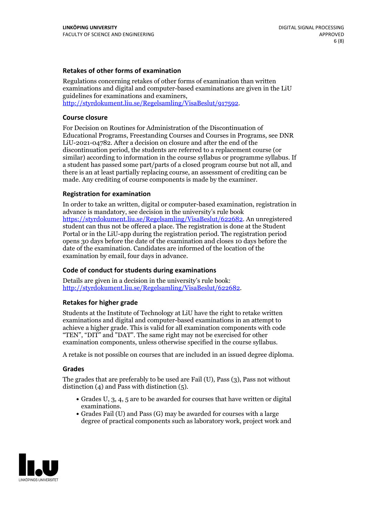#### **Retakes of other forms of examination**

Regulations concerning retakes of other forms of examination than written examinations and digital and computer-based examinations are given in the LiU guidelines for examinations and examiners, [http://styrdokument.liu.se/Regelsamling/VisaBeslut/917592.](http://styrdokument.liu.se/Regelsamling/VisaBeslut/917592)

#### **Course closure**

For Decision on Routines for Administration of the Discontinuation of Educational Programs, Freestanding Courses and Courses in Programs, see DNR LiU-2021-04782. After a decision on closure and after the end of the discontinuation period, the students are referred to a replacement course (or similar) according to information in the course syllabus or programme syllabus. If a student has passed some part/parts of a closed program course but not all, and there is an at least partially replacing course, an assessment of crediting can be made. Any crediting of course components is made by the examiner.

#### **Registration for examination**

In order to take an written, digital or computer-based examination, registration in advance is mandatory, see decision in the university's rule book [https://styrdokument.liu.se/Regelsamling/VisaBeslut/622682.](https://styrdokument.liu.se/Regelsamling/VisaBeslut/622682) An unregistered student can thus not be offered a place. The registration is done at the Student Portal or in the LiU-app during the registration period. The registration period opens 30 days before the date of the examination and closes 10 days before the date of the examination. Candidates are informed of the location of the examination by email, four days in advance.

#### **Code of conduct for students during examinations**

Details are given in a decision in the university's rule book: <http://styrdokument.liu.se/Regelsamling/VisaBeslut/622682>.

#### **Retakes for higher grade**

Students at the Institute of Technology at LiU have the right to retake written examinations and digital and computer-based examinations in an attempt to achieve a higher grade. This is valid for all examination components with code "TEN", "DIT" and "DAT". The same right may not be exercised for other examination components, unless otherwise specified in the course syllabus.

A retake is not possible on courses that are included in an issued degree diploma.

#### **Grades**

The grades that are preferably to be used are Fail (U), Pass (3), Pass not without distinction  $(4)$  and Pass with distinction  $(5)$ .

- Grades U, 3, 4, 5 are to be awarded for courses that have written or digital examinations.<br>• Grades Fail (U) and Pass (G) may be awarded for courses with a large
- degree of practical components such as laboratory work, project work and

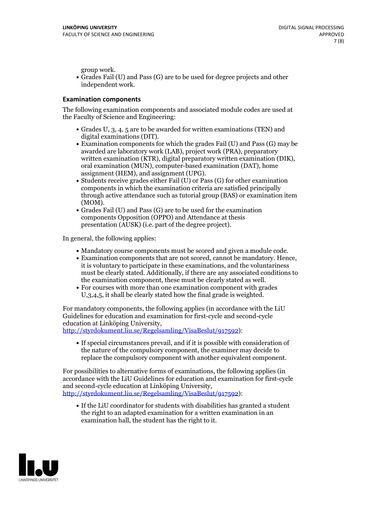group work.<br>• Grades Fail (U) and Pass (G) are to be used for degree projects and other independent work.

### **Examination components**

The following examination components and associated module codes are used at the Faculty of Science and Engineering:

- Grades U, 3, 4, 5 are to be awarded for written examinations (TEN) and
- digital examinations (DIT).<br>• Examination components for which the grades Fail (U) and Pass (G) may be awarded are laboratory work (LAB), project work (PRA), preparatory written examination (KTR), digital preparatory written examination (DIK), oral examination (MUN), computer-based examination (DAT), home
- assignment (HEM), and assignment (UPG).<br>• Students receive grades either Fail (U) or Pass (G) for other examination components in which the examination criteria are satisfied principally through active attendance such as tutorial group (BAS) or examination item
- (MOM).<br>• Grades Fail (U) and Pass (G) are to be used for the examination components Opposition (OPPO) and Attendance at thesis presentation (AUSK) (i.e. part of the degree project).

In general, the following applies:

- 
- Mandatory course components must be scored and given <sup>a</sup> module code. Examination components that are not scored, cannot be mandatory. Hence, it is voluntary to participate in these examinations, and the voluntariness must be clearly stated. Additionally, if there are any associated conditions to
- the examination component, these must be clearly stated as well.<br>• For courses with more than one examination component with grades U,3,4,5, it shall be clearly stated how the final grade is weighted.

For mandatory components, the following applies (in accordance with the LiU Guidelines for education and examination for first-cycle and second-cycle education at Linköping University,<br>[http://styrdokument.liu.se/Regelsamling/VisaBeslut/917592\)](http://styrdokument.liu.se/Regelsamling/VisaBeslut/917592):

If special circumstances prevail, and if it is possible with consideration of the nature of the compulsory component, the examiner may decide to replace the compulsory component with another equivalent component.

For possibilities to alternative forms of examinations, the following applies (in accordance with the LiU Guidelines for education and examination for first-cycle [http://styrdokument.liu.se/Regelsamling/VisaBeslut/917592\)](http://styrdokument.liu.se/Regelsamling/VisaBeslut/917592):

If the LiU coordinator for students with disabilities has granted a student the right to an adapted examination for a written examination in an examination hall, the student has the right to it.